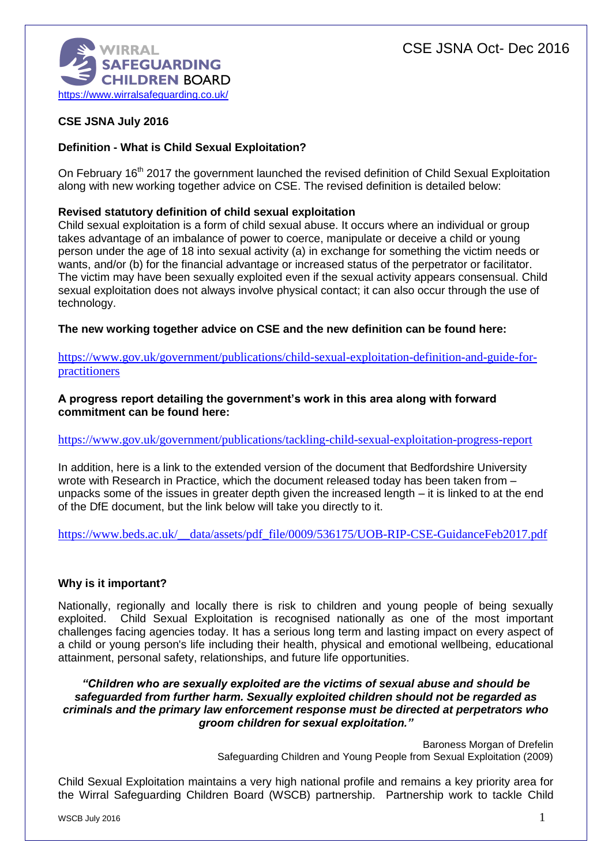

# **CSE JSNA July 2016**

# **Definition - What is Child Sexual Exploitation?**

On February 16<sup>th</sup> 2017 the government launched the revised definition of Child Sexual Exploitation along with new working together advice on CSE. The revised definition is detailed below:

### **Revised statutory definition of child sexual exploitation**

Child sexual exploitation is a form of child sexual abuse. It occurs where an individual or group takes advantage of an imbalance of power to coerce, manipulate or deceive a child or young person under the age of 18 into sexual activity (a) in exchange for something the victim needs or wants, and/or (b) for the financial advantage or increased status of the perpetrator or facilitator. The victim may have been sexually exploited even if the sexual activity appears consensual. Child sexual exploitation does not always involve physical contact; it can also occur through the use of technology.

**The new working together advice on CSE and the new definition can be found here:**

[https://www.gov.uk/government/publications/child-sexual-exploitation-definition-and-guide-for](https://www.gov.uk/government/publications/child-sexual-exploitation-definition-and-guide-for-practitioners)[practitioners](https://www.gov.uk/government/publications/child-sexual-exploitation-definition-and-guide-for-practitioners)

### **A progress report detailing the government's work in this area along with forward commitment can be found here:**

#### <https://www.gov.uk/government/publications/tackling-child-sexual-exploitation-progress-report>

In addition, here is a link to the extended version of the document that Bedfordshire University wrote with Research in Practice, which the document released today has been taken from – unpacks some of the issues in greater depth given the increased length – it is linked to at the end of the DfE document, but the link below will take you directly to it.

https://www.beds.ac.uk/ data/assets/pdf\_file/0009/536175/UOB-RIP-CSE-GuidanceFeb2017.pdf

## **Why is it important?**

Nationally, regionally and locally there is risk to children and young people of being sexually exploited. Child Sexual Exploitation is recognised nationally as one of the most important challenges facing agencies today. It has a serious long term and lasting impact on every aspect of a child or young person's life including their health, physical and emotional wellbeing, educational attainment, personal safety, relationships, and future life opportunities.

### *"Children who are sexually exploited are the victims of sexual abuse and should be safeguarded from further harm. Sexually exploited children should not be regarded as criminals and the primary law enforcement response must be directed at perpetrators who groom children for sexual exploitation."*

Baroness Morgan of Drefelin Safeguarding Children and Young People from Sexual Exploitation (2009)

Child Sexual Exploitation maintains a very high national profile and remains a key priority area for the Wirral Safeguarding Children Board (WSCB) partnership. Partnership work to tackle Child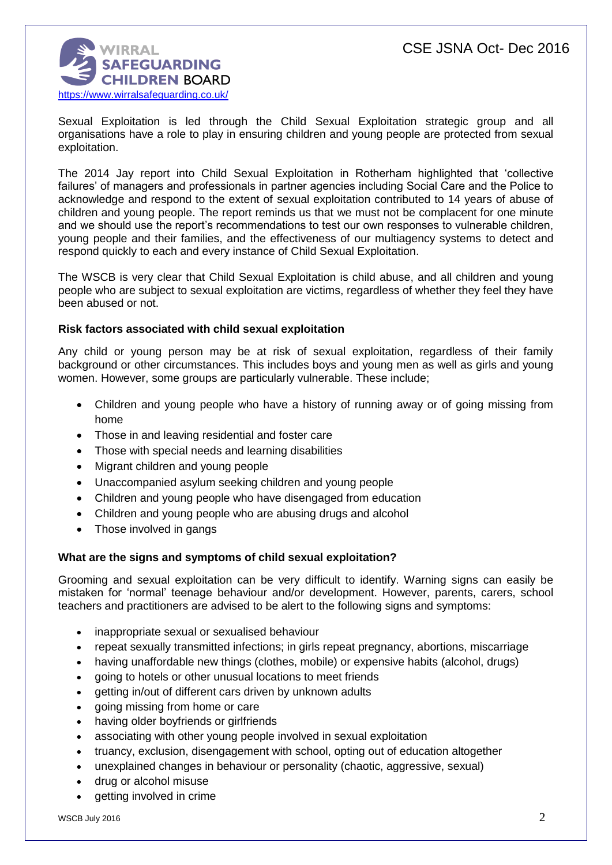

Sexual Exploitation is led through the Child Sexual Exploitation strategic group and all organisations have a role to play in ensuring children and young people are protected from sexual exploitation.

The 2014 Jay report into Child Sexual Exploitation in Rotherham highlighted that 'collective failures' of managers and professionals in partner agencies including Social Care and the Police to acknowledge and respond to the extent of sexual exploitation contributed to 14 years of abuse of children and young people. The report reminds us that we must not be complacent for one minute and we should use the report's recommendations to test our own responses to vulnerable children, young people and their families, and the effectiveness of our multiagency systems to detect and respond quickly to each and every instance of Child Sexual Exploitation.

The WSCB is very clear that Child Sexual Exploitation is child abuse, and all children and young people who are subject to sexual exploitation are victims, regardless of whether they feel they have been abused or not.

### **Risk factors associated with child sexual exploitation**

Any child or young person may be at risk of sexual exploitation, regardless of their family background or other circumstances. This includes boys and young men as well as girls and young women. However, some groups are particularly vulnerable. These include;

- Children and young people who have a history of running away or of going missing from home
- Those in and leaving residential and foster care
- Those with special needs and learning disabilities
- Migrant children and young people
- Unaccompanied asylum seeking children and young people
- Children and young people who have disengaged from education
- Children and young people who are abusing drugs and alcohol
- Those involved in gangs

## **What are the signs and symptoms of child sexual exploitation?**

Grooming and sexual exploitation can be very difficult to identify. Warning signs can easily be mistaken for 'normal' teenage behaviour and/or development. However, parents, carers, school teachers and practitioners are advised to be alert to the following signs and symptoms:

- inappropriate sexual or sexualised behaviour
- repeat sexually transmitted infections; in girls repeat pregnancy, abortions, miscarriage
- having unaffordable new things (clothes, mobile) or expensive habits (alcohol, drugs)
- going to hotels or other unusual locations to meet friends
- getting in/out of different cars driven by unknown adults
- aoing missing from home or care
- having older boyfriends or girlfriends
- associating with other young people involved in sexual exploitation
- truancy, exclusion, disengagement with school, opting out of education altogether
- unexplained changes in behaviour or personality (chaotic, aggressive, sexual)
- drug or alcohol misuse
- getting involved in crime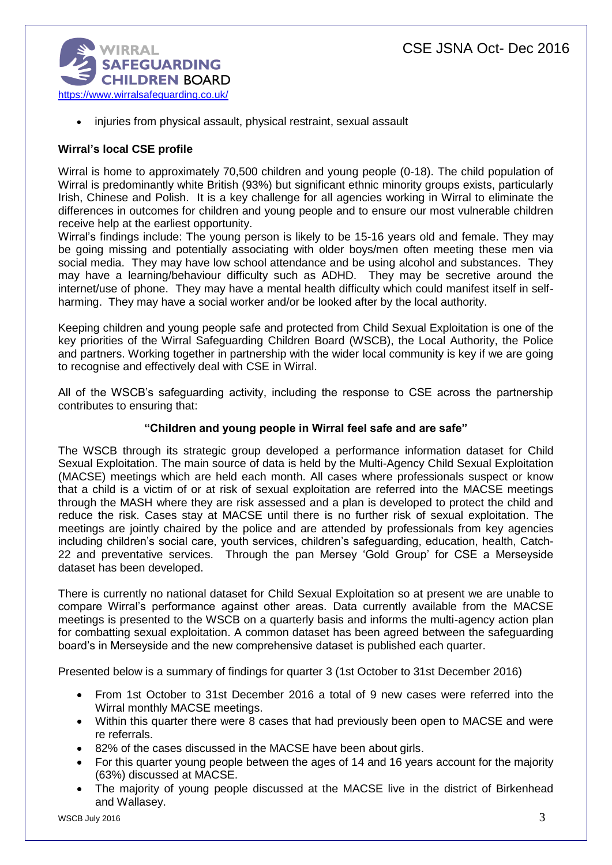

injuries from physical assault, physical restraint, sexual assault

# **Wirral's local CSE profile**

Wirral is home to approximately 70,500 children and young people (0-18). The child population of Wirral is predominantly white British (93%) but significant ethnic minority groups exists, particularly Irish, Chinese and Polish. It is a key challenge for all agencies working in Wirral to eliminate the differences in outcomes for children and young people and to ensure our most vulnerable children receive help at the earliest opportunity.

Wirral's findings include: The young person is likely to be 15-16 years old and female. They may be going missing and potentially associating with older boys/men often meeting these men via social media. They may have low school attendance and be using alcohol and substances. They may have a learning/behaviour difficulty such as ADHD. They may be secretive around the internet/use of phone. They may have a mental health difficulty which could manifest itself in selfharming. They may have a social worker and/or be looked after by the local authority.

Keeping children and young people safe and protected from Child Sexual Exploitation is one of the key priorities of the Wirral Safeguarding Children Board (WSCB), the Local Authority, the Police and partners. Working together in partnership with the wider local community is key if we are going to recognise and effectively deal with CSE in Wirral.

All of the WSCB's safeguarding activity, including the response to CSE across the partnership contributes to ensuring that:

## **"Children and young people in Wirral feel safe and are safe"**

The WSCB through its strategic group developed a performance information dataset for Child Sexual Exploitation. The main source of data is held by the Multi-Agency Child Sexual Exploitation (MACSE) meetings which are held each month. All cases where professionals suspect or know that a child is a victim of or at risk of sexual exploitation are referred into the MACSE meetings through the MASH where they are risk assessed and a plan is developed to protect the child and reduce the risk. Cases stay at MACSE until there is no further risk of sexual exploitation. The meetings are jointly chaired by the police and are attended by professionals from key agencies including children's social care, youth services, children's safeguarding, education, health, Catch-22 and preventative services. Through the pan Mersey 'Gold Group' for CSE a Merseyside dataset has been developed.

There is currently no national dataset for Child Sexual Exploitation so at present we are unable to compare Wirral's performance against other areas. Data currently available from the MACSE meetings is presented to the WSCB on a quarterly basis and informs the multi-agency action plan for combatting sexual exploitation. A common dataset has been agreed between the safeguarding board's in Merseyside and the new comprehensive dataset is published each quarter.

Presented below is a summary of findings for quarter 3 (1st October to 31st December 2016)

- From 1st October to 31st December 2016 a total of 9 new cases were referred into the Wirral monthly MACSE meetings.
- Within this quarter there were 8 cases that had previously been open to MACSE and were re referrals.
- 82% of the cases discussed in the MACSE have been about girls.
- For this quarter young people between the ages of 14 and 16 years account for the majority (63%) discussed at MACSE.
- The majority of young people discussed at the MACSE live in the district of Birkenhead and Wallasey.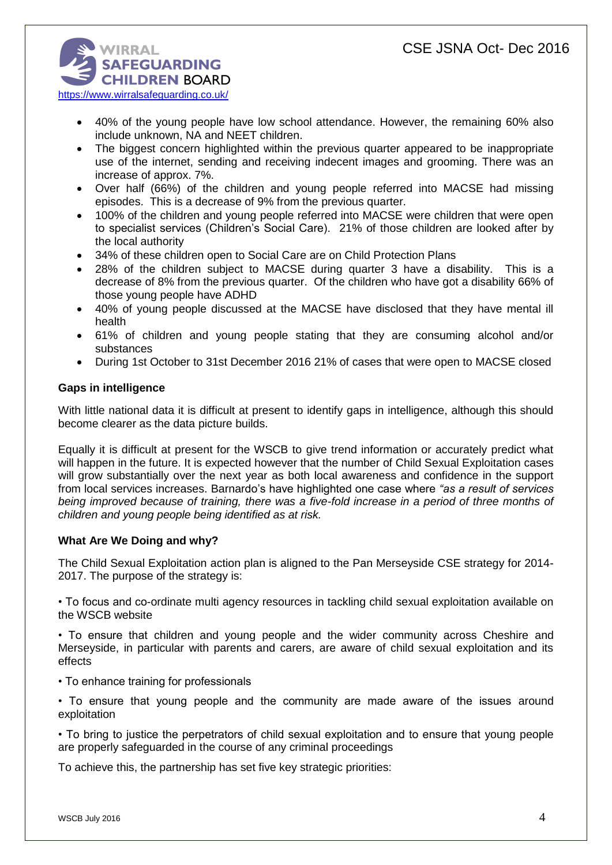

- 40% of the young people have low school attendance. However, the remaining 60% also include unknown, NA and NEET children.
- The biggest concern highlighted within the previous quarter appeared to be inappropriate use of the internet, sending and receiving indecent images and grooming. There was an increase of approx. 7%.
- Over half (66%) of the children and young people referred into MACSE had missing episodes. This is a decrease of 9% from the previous quarter.
- 100% of the children and young people referred into MACSE were children that were open to specialist services (Children's Social Care). 21% of those children are looked after by the local authority
- 34% of these children open to Social Care are on Child Protection Plans
- 28% of the children subject to MACSE during quarter 3 have a disability. This is a decrease of 8% from the previous quarter. Of the children who have got a disability 66% of those young people have ADHD
- 40% of young people discussed at the MACSE have disclosed that they have mental ill health
- 61% of children and young people stating that they are consuming alcohol and/or substances
- During 1st October to 31st December 2016 21% of cases that were open to MACSE closed

# **Gaps in intelligence**

With little national data it is difficult at present to identify gaps in intelligence, although this should become clearer as the data picture builds.

Equally it is difficult at present for the WSCB to give trend information or accurately predict what will happen in the future. It is expected however that the number of Child Sexual Exploitation cases will grow substantially over the next year as both local awareness and confidence in the support from local services increases. Barnardo's have highlighted one case where *"as a result of services being improved because of training, there was a five-fold increase in a period of three months of children and young people being identified as at risk.*

## **What Are We Doing and why?**

The Child Sexual Exploitation action plan is aligned to the Pan Merseyside CSE strategy for 2014- 2017. The purpose of the strategy is:

• To focus and co-ordinate multi agency resources in tackling child sexual exploitation available on the WSCB website

• To ensure that children and young people and the wider community across Cheshire and Merseyside, in particular with parents and carers, are aware of child sexual exploitation and its effects

- To enhance training for professionals
- To ensure that young people and the community are made aware of the issues around exploitation

• To bring to justice the perpetrators of child sexual exploitation and to ensure that young people are properly safeguarded in the course of any criminal proceedings

To achieve this, the partnership has set five key strategic priorities: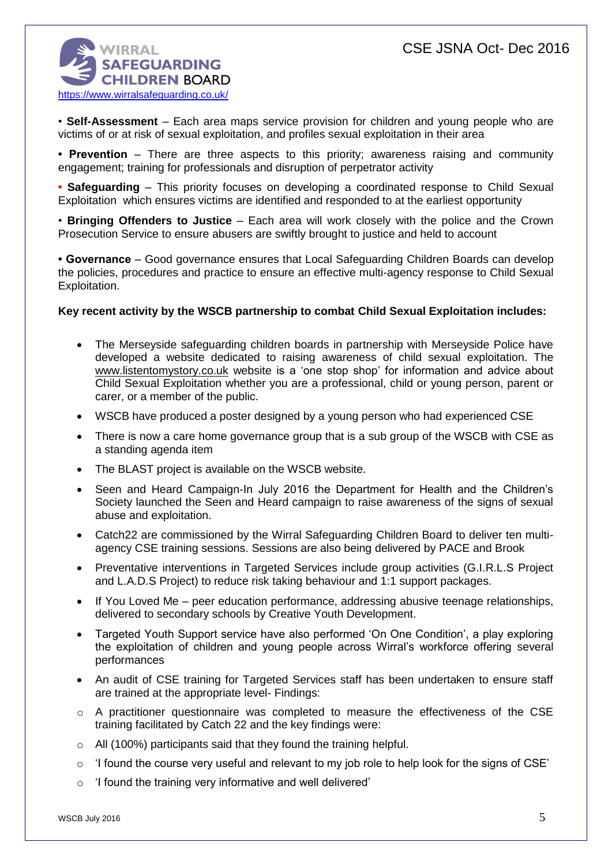

• **Self-Assessment** – Each area maps service provision for children and young people who are victims of or at risk of sexual exploitation, and profiles sexual exploitation in their area

**• Prevention** – There are three aspects to this priority; awareness raising and community engagement; training for professionals and disruption of perpetrator activity

**• Safeguarding** – This priority focuses on developing a coordinated response to Child Sexual Exploitation which ensures victims are identified and responded to at the earliest opportunity

• **Bringing Offenders to Justice** – Each area will work closely with the police and the Crown Prosecution Service to ensure abusers are swiftly brought to justice and held to account

**• Governance** – Good governance ensures that Local Safeguarding Children Boards can develop the policies, procedures and practice to ensure an effective multi-agency response to Child Sexual Exploitation.

## **Key recent activity by the WSCB partnership to combat Child Sexual Exploitation includes:**

- The Merseyside safeguarding children boards in partnership with Merseyside Police have developed a website dedicated to raising awareness of child sexual exploitation. The [www.listentomystory.co.uk](http://www.listentomystory.co.uk/) website is a 'one stop shop' for information and advice about Child Sexual Exploitation whether you are a professional, child or young person, parent or carer, or a member of the public.
- WSCB have produced a poster designed by a young person who had experienced CSE
- There is now a care home governance group that is a sub group of the WSCB with CSE as a standing agenda item
- The BLAST project is available on the WSCB website.
- Seen and Heard Campaign-In July 2016 the Department for Health and the Children's Society launched the Seen and Heard campaign to raise awareness of the signs of sexual abuse and exploitation.
- Catch22 are commissioned by the Wirral Safeguarding Children Board to deliver ten multiagency CSE training sessions. Sessions are also being delivered by PACE and Brook
- Preventative interventions in Targeted Services include group activities (G.I.R.L.S Project and L.A.D.S Project) to reduce risk taking behaviour and 1:1 support packages.
- If You Loved Me peer education performance, addressing abusive teenage relationships, delivered to secondary schools by Creative Youth Development.
- Targeted Youth Support service have also performed 'On One Condition', a play exploring the exploitation of children and young people across Wirral's workforce offering several performances
- An audit of CSE training for Targeted Services staff has been undertaken to ensure staff are trained at the appropriate level- Findings:
- o A practitioner questionnaire was completed to measure the effectiveness of the CSE training facilitated by Catch 22 and the key findings were:
- o All (100%) participants said that they found the training helpful.
- $\circ$  'I found the course very useful and relevant to my job role to help look for the signs of CSE'
- o 'I found the training very informative and well delivered'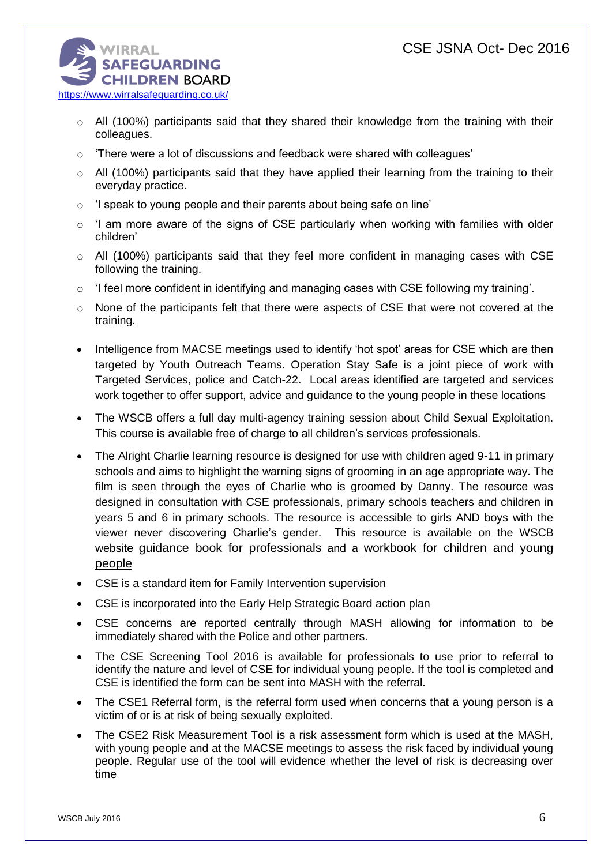

- $\circ$  All (100%) participants said that they shared their knowledge from the training with their colleagues.
- $\circ$  'There were a lot of discussions and feedback were shared with colleagues'
- $\circ$  All (100%) participants said that they have applied their learning from the training to their everyday practice.
- $\circ$  'I speak to young people and their parents about being safe on line'
- $\circ$  'I am more aware of the signs of CSE particularly when working with families with older children'
- $\circ$  All (100%) participants said that they feel more confident in managing cases with CSE following the training.
- $\circ$  'I feel more confident in identifying and managing cases with CSE following my training'.
- $\circ$  None of the participants felt that there were aspects of CSE that were not covered at the training.
- Intelligence from MACSE meetings used to identify 'hot spot' areas for CSE which are then targeted by Youth Outreach Teams. Operation Stay Safe is a joint piece of work with Targeted Services, police and Catch-22. Local areas identified are targeted and services work together to offer support, advice and guidance to the young people in these locations
- The WSCB offers a full day multi-agency training session about Child Sexual Exploitation. This course is available free of charge to all children's services professionals.
- The Alright Charlie learning resource is designed for use with children aged 9-11 in primary schools and aims to highlight the warning signs of grooming in an age appropriate way. The film is seen through the eyes of Charlie who is groomed by Danny. The resource was designed in consultation with CSE professionals, primary schools teachers and children in years 5 and 6 in primary schools. The resource is accessible to girls AND boys with the viewer never discovering Charlie's gender. This resource is available on the WSCB website [guidance book for professionals](http://www.wirralsafeguarding.co.uk/wp-content/uploads/2016/02/alright-charlie-professionals-guidance.pdf) and a workbook for children and young people
- CSE is a standard item for Family Intervention supervision
- CSE is incorporated into the Early Help Strategic Board action plan
- CSE concerns are reported centrally through MASH allowing for information to be immediately shared with the Police and other partners.
- The CSE Screening Tool 2016 is available for professionals to use prior to referral to identify the nature and level of CSE for individual young people. If the tool is completed and CSE is identified the form can be sent into MASH with the referral.
- The CSE1 Referral form, is the referral form used when concerns that a young person is a victim of or is at risk of being sexually exploited.
- The CSE2 Risk Measurement Tool is a risk assessment form which is used at the MASH, with young people and at the MACSE meetings to assess the risk faced by individual young people. Regular use of the tool will evidence whether the level of risk is decreasing over time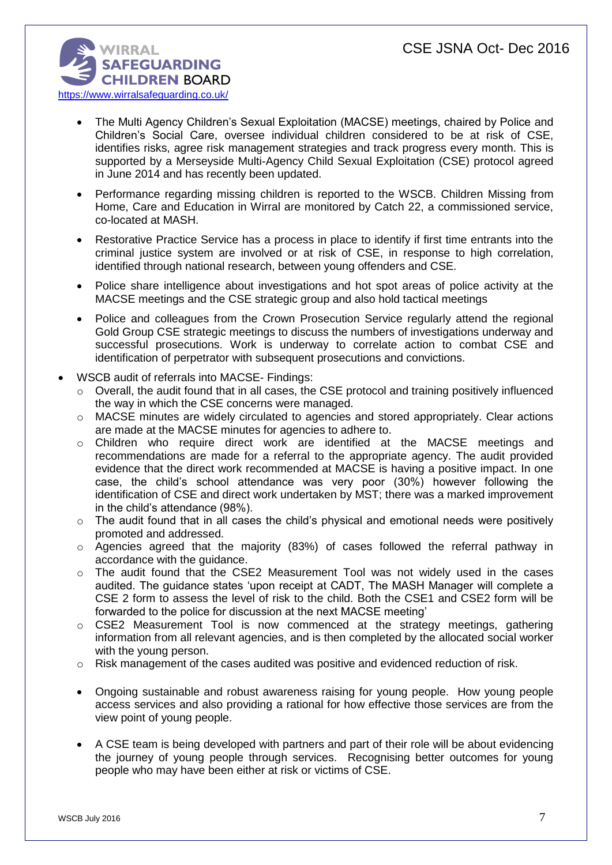

- The Multi Agency Children's Sexual Exploitation (MACSE) meetings, chaired by Police and Children's Social Care, oversee individual children considered to be at risk of CSE, identifies risks, agree risk management strategies and track progress every month. This is supported by a Merseyside Multi-Agency Child Sexual Exploitation (CSE) protocol agreed in June 2014 and has recently been updated.
- Performance regarding missing children is reported to the WSCB. Children Missing from Home, Care and Education in Wirral are monitored by Catch 22, a commissioned service, co-located at MASH.
- Restorative Practice Service has a process in place to identify if first time entrants into the criminal justice system are involved or at risk of CSE, in response to high correlation, identified through national research, between young offenders and CSE.
- Police share intelligence about investigations and hot spot areas of police activity at the MACSE meetings and the CSE strategic group and also hold tactical meetings
- Police and colleagues from the Crown Prosecution Service regularly attend the regional Gold Group CSE strategic meetings to discuss the numbers of investigations underway and successful prosecutions. Work is underway to correlate action to combat CSE and identification of perpetrator with subsequent prosecutions and convictions.
- WSCB audit of referrals into MACSE- Findings:
	- o Overall, the audit found that in all cases, the CSE protocol and training positively influenced the way in which the CSE concerns were managed.
	- o MACSE minutes are widely circulated to agencies and stored appropriately. Clear actions are made at the MACSE minutes for agencies to adhere to.
	- o Children who require direct work are identified at the MACSE meetings and recommendations are made for a referral to the appropriate agency. The audit provided evidence that the direct work recommended at MACSE is having a positive impact. In one case, the child's school attendance was very poor (30%) however following the identification of CSE and direct work undertaken by MST; there was a marked improvement in the child's attendance (98%).
	- $\circ$  The audit found that in all cases the child's physical and emotional needs were positively promoted and addressed.
	- o Agencies agreed that the majority (83%) of cases followed the referral pathway in accordance with the guidance.
	- $\circ$  The audit found that the CSE2 Measurement Tool was not widely used in the cases audited. The guidance states 'upon receipt at CADT, The MASH Manager will complete a CSE 2 form to assess the level of risk to the child. Both the CSE1 and CSE2 form will be forwarded to the police for discussion at the next MACSE meeting'
	- o CSE2 Measurement Tool is now commenced at the strategy meetings, gathering information from all relevant agencies, and is then completed by the allocated social worker with the young person.
	- $\circ$  Risk management of the cases audited was positive and evidenced reduction of risk.
	- Ongoing sustainable and robust awareness raising for young people. How young people access services and also providing a rational for how effective those services are from the view point of young people.
	- A CSE team is being developed with partners and part of their role will be about evidencing the journey of young people through services. Recognising better outcomes for young people who may have been either at risk or victims of CSE.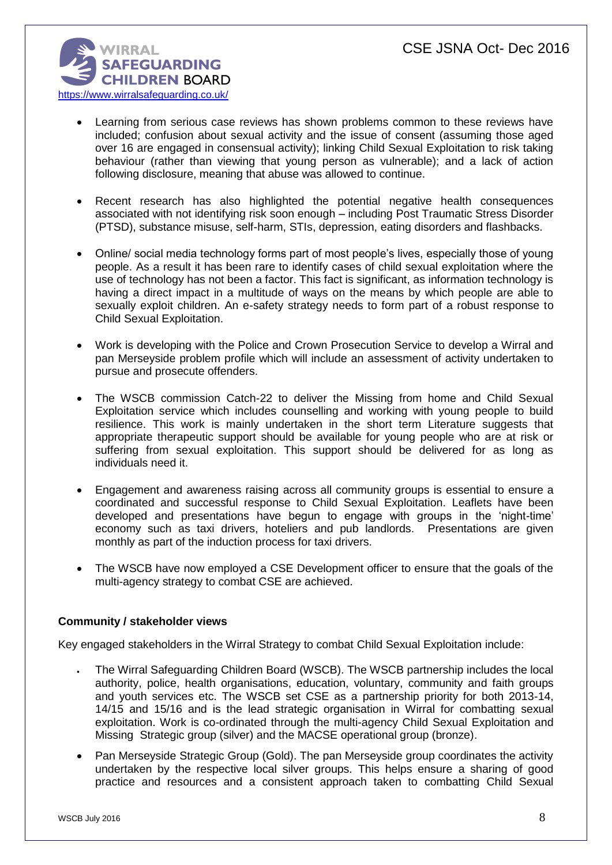

- Learning from serious case reviews has shown problems common to these reviews have included; confusion about sexual activity and the issue of consent (assuming those aged over 16 are engaged in consensual activity); linking Child Sexual Exploitation to risk taking behaviour (rather than viewing that young person as vulnerable); and a lack of action following disclosure, meaning that abuse was allowed to continue.
- Recent research has also highlighted the potential negative health consequences associated with not identifying risk soon enough – including Post Traumatic Stress Disorder (PTSD), substance misuse, self-harm, STIs, depression, eating disorders and flashbacks.
- Online/ social media technology forms part of most people's lives, especially those of young people. As a result it has been rare to identify cases of child sexual exploitation where the use of technology has not been a factor. This fact is significant, as information technology is having a direct impact in a multitude of ways on the means by which people are able to sexually exploit children. An e-safety strategy needs to form part of a robust response to Child Sexual Exploitation.
- Work is developing with the Police and Crown Prosecution Service to develop a Wirral and pan Merseyside problem profile which will include an assessment of activity undertaken to pursue and prosecute offenders.
- The WSCB commission Catch-22 to deliver the Missing from home and Child Sexual Exploitation service which includes counselling and working with young people to build resilience. This work is mainly undertaken in the short term Literature suggests that appropriate therapeutic support should be available for young people who are at risk or suffering from sexual exploitation. This support should be delivered for as long as individuals need it.
- Engagement and awareness raising across all community groups is essential to ensure a coordinated and successful response to Child Sexual Exploitation. Leaflets have been developed and presentations have begun to engage with groups in the 'night-time' economy such as taxi drivers, hoteliers and pub landlords. Presentations are given monthly as part of the induction process for taxi drivers.
- The WSCB have now employed a CSE Development officer to ensure that the goals of the multi-agency strategy to combat CSE are achieved.

## **Community / stakeholder views**

Key engaged stakeholders in the Wirral Strategy to combat Child Sexual Exploitation include:

- The Wirral Safeguarding Children Board (WSCB). The WSCB partnership includes the local authority, police, health organisations, education, voluntary, community and faith groups and youth services etc. The WSCB set CSE as a partnership priority for both 2013-14, 14/15 and 15/16 and is the lead strategic organisation in Wirral for combatting sexual exploitation. Work is co-ordinated through the multi-agency Child Sexual Exploitation and Missing Strategic group (silver) and the MACSE operational group (bronze).
- Pan Merseyside Strategic Group (Gold). The pan Merseyside group coordinates the activity undertaken by the respective local silver groups. This helps ensure a sharing of good practice and resources and a consistent approach taken to combatting Child Sexual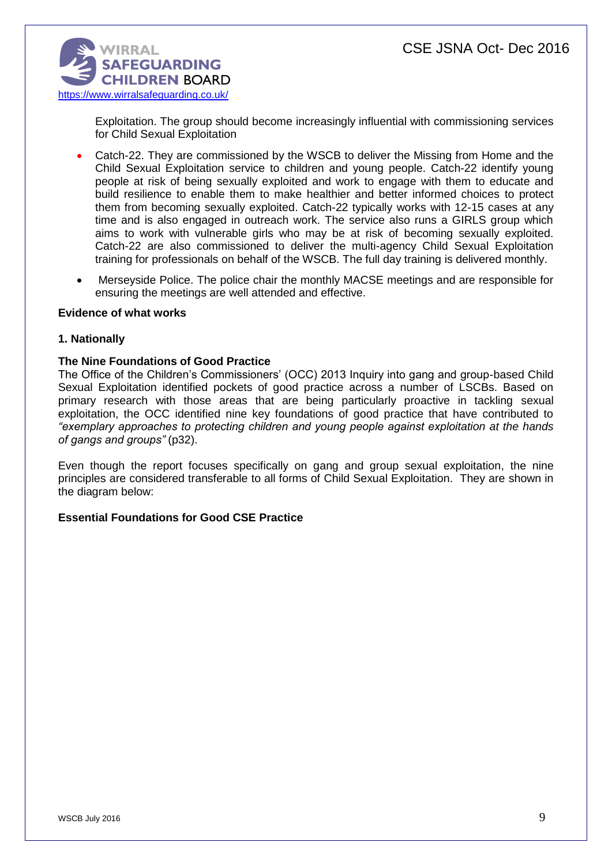

Exploitation. The group should become increasingly influential with commissioning services for Child Sexual Exploitation

- Catch-22. They are commissioned by the WSCB to deliver the Missing from Home and the Child Sexual Exploitation service to children and young people. Catch-22 identify young people at risk of being sexually exploited and work to engage with them to educate and build resilience to enable them to make healthier and better informed choices to protect them from becoming sexually exploited. Catch-22 typically works with 12-15 cases at any time and is also engaged in outreach work. The service also runs a GIRLS group which aims to work with vulnerable girls who may be at risk of becoming sexually exploited. Catch-22 are also commissioned to deliver the multi-agency Child Sexual Exploitation training for professionals on behalf of the WSCB. The full day training is delivered monthly.
- Merseyside Police. The police chair the monthly MACSE meetings and are responsible for ensuring the meetings are well attended and effective.

#### **Evidence of what works**

### **1. Nationally**

### **The Nine Foundations of Good Practice**

The Office of the Children's Commissioners' (OCC) 2013 Inquiry into gang and group-based Child Sexual Exploitation identified pockets of good practice across a number of LSCBs. Based on primary research with those areas that are being particularly proactive in tackling sexual exploitation, the OCC identified nine key foundations of good practice that have contributed to *"exemplary approaches to protecting children and young people against exploitation at the hands of gangs and groups"* (p32).

Even though the report focuses specifically on gang and group sexual exploitation, the nine principles are considered transferable to all forms of Child Sexual Exploitation. They are shown in the diagram below:

## **Essential Foundations for Good CSE Practice**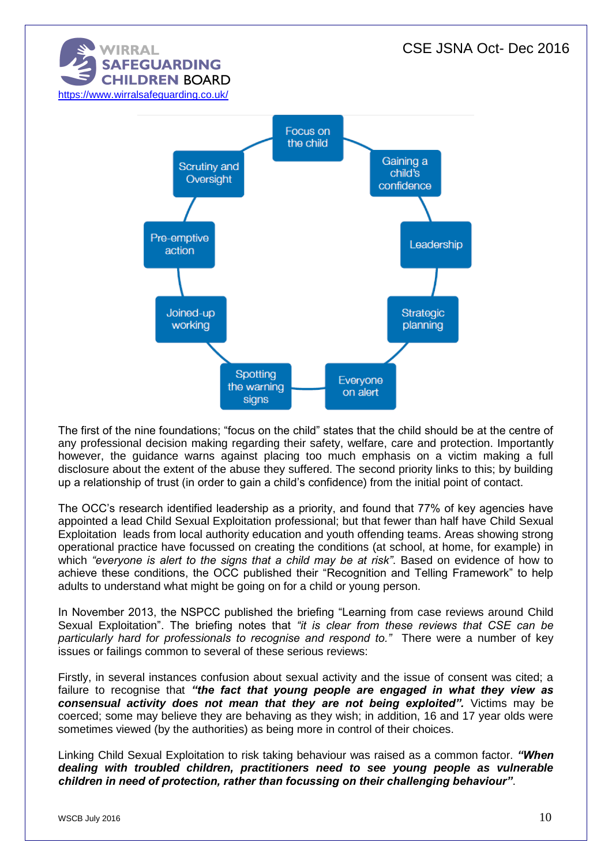

The first of the nine foundations; "focus on the child" states that the child should be at the centre of any professional decision making regarding their safety, welfare, care and protection. Importantly however, the guidance warns against placing too much emphasis on a victim making a full disclosure about the extent of the abuse they suffered. The second priority links to this; by building up a relationship of trust (in order to gain a child's confidence) from the initial point of contact.

The OCC's research identified leadership as a priority, and found that 77% of key agencies have appointed a lead Child Sexual Exploitation professional; but that fewer than half have Child Sexual Exploitation leads from local authority education and youth offending teams. Areas showing strong operational practice have focussed on creating the conditions (at school, at home, for example) in which *"everyone is alert to the signs that a child may be at risk"*. Based on evidence of how to achieve these conditions, the OCC published their "Recognition and Telling Framework" to help adults to understand what might be going on for a child or young person.

In November 2013, the NSPCC published the briefing "Learning from case reviews around Child Sexual Exploitation". The briefing notes that *"it is clear from these reviews that CSE can be particularly hard for professionals to recognise and respond to."* There were a number of key issues or failings common to several of these serious reviews:

Firstly, in several instances confusion about sexual activity and the issue of consent was cited; a failure to recognise that *"the fact that young people are engaged in what they view as consensual activity does not mean that they are not being exploited".* Victims may be coerced; some may believe they are behaving as they wish; in addition, 16 and 17 year olds were sometimes viewed (by the authorities) as being more in control of their choices.

Linking Child Sexual Exploitation to risk taking behaviour was raised as a common factor. *"When dealing with troubled children, practitioners need to see young people as vulnerable children in need of protection, rather than focussing on their challenging behaviour"*.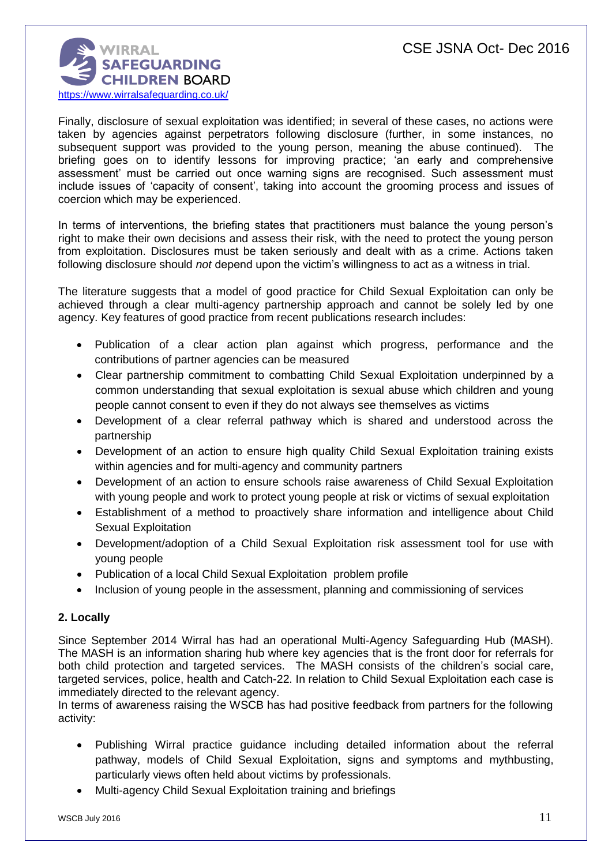

Finally, disclosure of sexual exploitation was identified; in several of these cases, no actions were taken by agencies against perpetrators following disclosure (further, in some instances, no subsequent support was provided to the young person, meaning the abuse continued). The briefing goes on to identify lessons for improving practice; 'an early and comprehensive assessment' must be carried out once warning signs are recognised. Such assessment must include issues of 'capacity of consent', taking into account the grooming process and issues of coercion which may be experienced.

In terms of interventions, the briefing states that practitioners must balance the young person's right to make their own decisions and assess their risk, with the need to protect the young person from exploitation. Disclosures must be taken seriously and dealt with as a crime. Actions taken following disclosure should *not* depend upon the victim's willingness to act as a witness in trial.

The literature suggests that a model of good practice for Child Sexual Exploitation can only be achieved through a clear multi-agency partnership approach and cannot be solely led by one agency. Key features of good practice from recent publications research includes:

- Publication of a clear action plan against which progress, performance and the contributions of partner agencies can be measured
- Clear partnership commitment to combatting Child Sexual Exploitation underpinned by a common understanding that sexual exploitation is sexual abuse which children and young people cannot consent to even if they do not always see themselves as victims
- Development of a clear referral pathway which is shared and understood across the partnership
- Development of an action to ensure high quality Child Sexual Exploitation training exists within agencies and for multi-agency and community partners
- Development of an action to ensure schools raise awareness of Child Sexual Exploitation with young people and work to protect young people at risk or victims of sexual exploitation
- Establishment of a method to proactively share information and intelligence about Child Sexual Exploitation
- Development/adoption of a Child Sexual Exploitation risk assessment tool for use with young people
- Publication of a local Child Sexual Exploitation problem profile
- Inclusion of young people in the assessment, planning and commissioning of services

# **2. Locally**

Since September 2014 Wirral has had an operational Multi-Agency Safeguarding Hub (MASH). The MASH is an information sharing hub where key agencies that is the front door for referrals for both child protection and targeted services. The MASH consists of the children's social care, targeted services, police, health and Catch-22. In relation to Child Sexual Exploitation each case is immediately directed to the relevant agency.

In terms of awareness raising the WSCB has had positive feedback from partners for the following activity:

- Publishing Wirral practice guidance including detailed information about the referral pathway, models of Child Sexual Exploitation, signs and symptoms and mythbusting, particularly views often held about victims by professionals.
- Multi-agency Child Sexual Exploitation training and briefings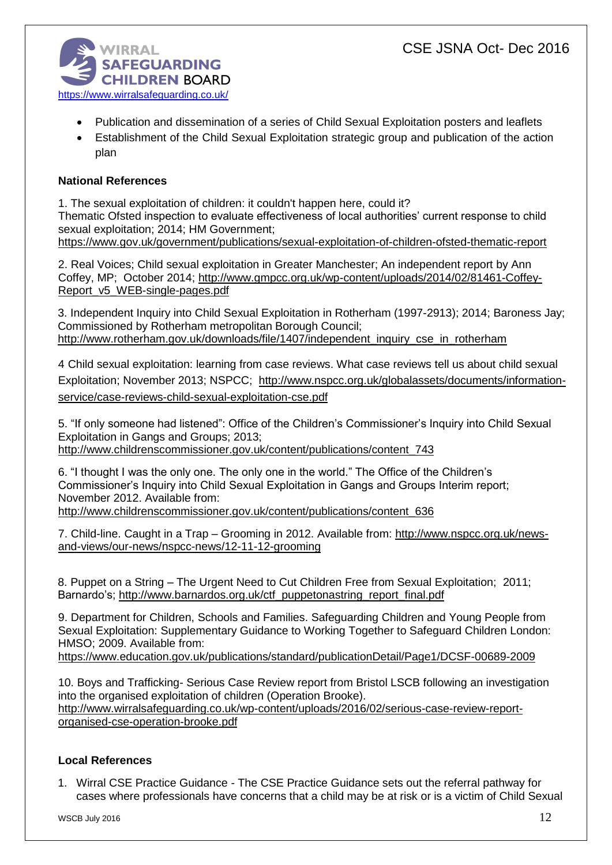

- Publication and dissemination of a series of Child Sexual Exploitation posters and leaflets
- Establishment of the Child Sexual Exploitation strategic group and publication of the action plan

# **National References**

1. The sexual exploitation of children: it couldn't happen here, could it? Thematic Ofsted inspection to evaluate effectiveness of local authorities' current response to child sexual exploitation; 2014; HM Government; <https://www.gov.uk/government/publications/sexual-exploitation-of-children-ofsted-thematic-report>

2. Real Voices; Child sexual exploitation in Greater Manchester; An independent report by Ann Coffey, MP; October 2014; [http://www.gmpcc.org.uk/wp-content/uploads/2014/02/81461-Coffey-](http://www.gmpcc.org.uk/wp-content/uploads/2014/02/81461-Coffey-Report_v5_WEB-single-pages.pdf)[Report\\_v5\\_WEB-single-pages.pdf](http://www.gmpcc.org.uk/wp-content/uploads/2014/02/81461-Coffey-Report_v5_WEB-single-pages.pdf)

3. Independent Inquiry into Child Sexual Exploitation in Rotherham (1997-2913); 2014; Baroness Jay; Commissioned by Rotherham metropolitan Borough Council; [http://www.rotherham.gov.uk/downloads/file/1407/independent\\_inquiry\\_cse\\_in\\_rotherham](http://www.rotherham.gov.uk/downloads/file/1407/independent_inquiry_cse_in_rotherham)

4 Child sexual exploitation: learning from case reviews. What case reviews tell us about child sexual Exploitation; November 2013; NSPCC; [http://www.nspcc.org.uk/globalassets/documents/information](http://www.nspcc.org.uk/globalassets/documents/information-service/case-reviews-child-sexual-exploitation-cse.pdf)[service/case-reviews-child-sexual-exploitation-cse.pdf](http://www.nspcc.org.uk/globalassets/documents/information-service/case-reviews-child-sexual-exploitation-cse.pdf)

5. "If only someone had listened": Office of the Children's Commissioner's Inquiry into Child Sexual Exploitation in Gangs and Groups; 2013; [http://www.childrenscommissioner.gov.uk/content/publications/content\\_743](http://www.childrenscommissioner.gov.uk/content/publications/content_743)

6. "I thought I was the only one. The only one in the world." The Office of the Children's Commissioner's Inquiry into Child Sexual Exploitation in Gangs and Groups Interim report; November 2012. Available from:

[http://www.childrenscommissioner.gov.uk/content/publications/content\\_636](http://www.childrenscommissioner.gov.uk/content/publications/content_636)

7. Child-line. Caught in a Trap – Grooming in 2012. Available from: [http://www.nspcc.org.uk/news](http://www.nspcc.org.uk/news-and-views/our-news/nspcc-news/12-11-12-grooming)[and-views/our-news/nspcc-news/12-11-12-grooming](http://www.nspcc.org.uk/news-and-views/our-news/nspcc-news/12-11-12-grooming)

8. Puppet on a String – The Urgent Need to Cut Children Free from Sexual Exploitation; 2011; Barnardo's; [http://www.barnardos.org.uk/ctf\\_puppetonastring\\_report\\_final.pdf](http://www.barnardos.org.uk/ctf_puppetonastring_report_final.pdf)

9. Department for Children, Schools and Families. Safeguarding Children and Young People from Sexual Exploitation: Supplementary Guidance to Working Together to Safeguard Children London: HMSO; 2009. Available from:

<https://www.education.gov.uk/publications/standard/publicationDetail/Page1/DCSF-00689-2009>

10. Boys and Trafficking- Serious Case Review report from Bristol LSCB following an investigation into the organised exploitation of children (Operation Brooke). [http://www.wirralsafeguarding.co.uk/wp-content/uploads/2016/02/serious-case-review-report](http://www.wirralsafeguarding.co.uk/wp-content/uploads/2016/02/serious-case-review-report-organised-cse-operation-brooke.pdf)[organised-cse-operation-brooke.pdf](http://www.wirralsafeguarding.co.uk/wp-content/uploads/2016/02/serious-case-review-report-organised-cse-operation-brooke.pdf)

# **Local References**

1. Wirral CSE Practice Guidance - The CSE Practice Guidance sets out the referral pathway for cases where professionals have concerns that a child may be at risk or is a victim of Child Sexual